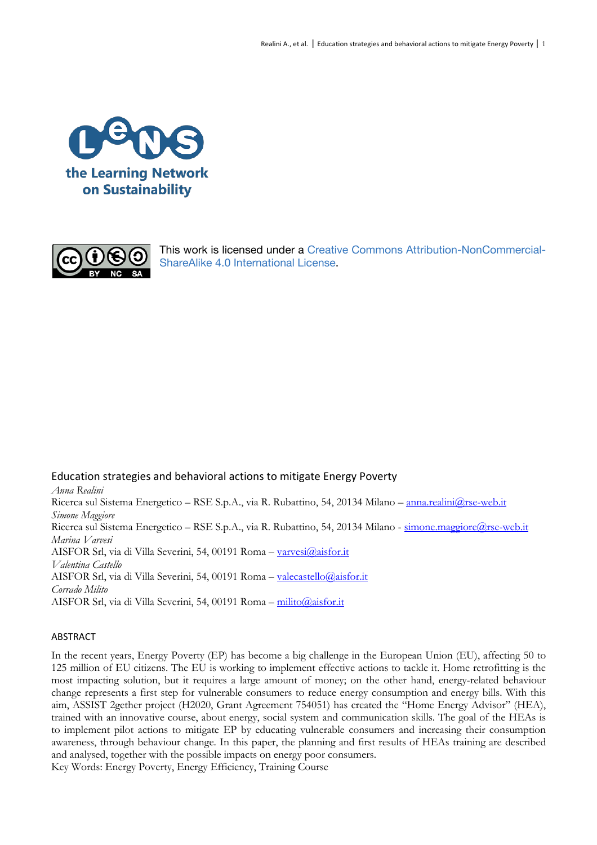



This work is licensed under a Creative Commons Attribution-NonCommercial-ShareAlike 4.0 International License.

Education strategies and behavioral actions to mitigate Energy Poverty *Anna Realini* Ricerca sul Sistema Energetico – RSE S.p.A., via R. Rubattino, 54, 20134 Milano – anna.realini@rse-web.it *Simone Maggiore* Ricerca sul Sistema Energetico – RSE S.p.A., via R. Rubattino, 54, 20134 Milano - simone.maggiore@rse-web.it *Marina Varvesi* AISFOR Srl, via di Villa Severini, 54, 00191 Roma – varvesi@aisfor.it *Valentina Castello* AISFOR Srl, via di Villa Severini, 54, 00191 Roma – valecastello@aisfor.it *Corrado Milito* AISFOR Srl, via di Villa Severini, 54, 00191 Roma – milito@aisfor.it

### ABSTRACT

In the recent years, Energy Poverty (EP) has become a big challenge in the European Union (EU), affecting 50 to 125 million of EU citizens. The EU is working to implement effective actions to tackle it. Home retrofitting is the most impacting solution, but it requires a large amount of money; on the other hand, energy-related behaviour change represents a first step for vulnerable consumers to reduce energy consumption and energy bills. With this aim, ASSIST 2gether project (H2020, Grant Agreement 754051) has created the "Home Energy Advisor" (HEA), trained with an innovative course, about energy, social system and communication skills. The goal of the HEAs is to implement pilot actions to mitigate EP by educating vulnerable consumers and increasing their consumption awareness, through behaviour change. In this paper, the planning and first results of HEAs training are described and analysed, together with the possible impacts on energy poor consumers. Key Words: Energy Poverty, Energy Efficiency, Training Course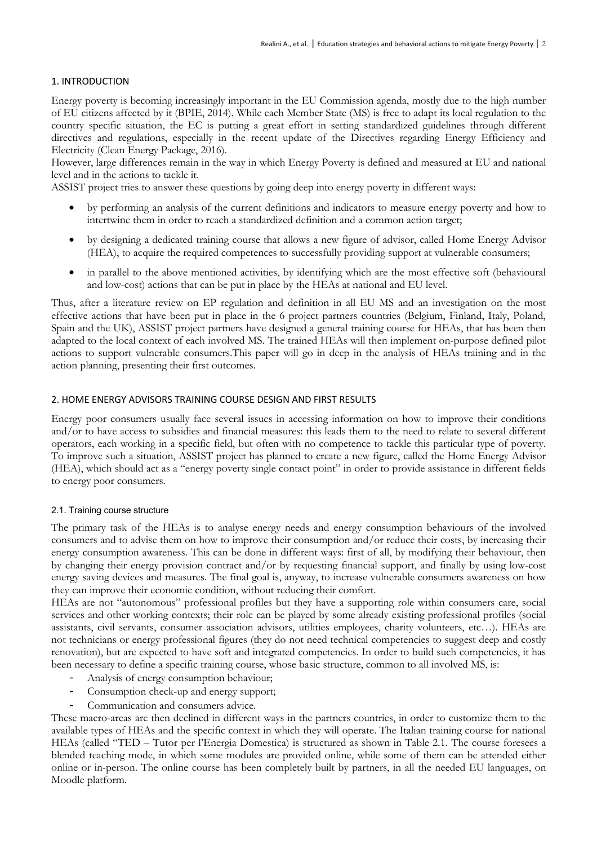## 1. INTRODUCTION

Energy poverty is becoming increasingly important in the EU Commission agenda, mostly due to the high number of EU citizens affected by it (BPIE, 2014). While each Member State (MS) is free to adapt its local regulation to the country specific situation, the EC is putting a great effort in setting standardized guidelines through different directives and regulations, especially in the recent update of the Directives regarding Energy Efficiency and Electricity (Clean Energy Package, 2016).

However, large differences remain in the way in which Energy Poverty is defined and measured at EU and national level and in the actions to tackle it.

ASSIST project tries to answer these questions by going deep into energy poverty in different ways:

- by performing an analysis of the current definitions and indicators to measure energy poverty and how to intertwine them in order to reach a standardized definition and a common action target;
- by designing a dedicated training course that allows a new figure of advisor, called Home Energy Advisor (HEA), to acquire the required competences to successfully providing support at vulnerable consumers;
- in parallel to the above mentioned activities, by identifying which are the most effective soft (behavioural and low-cost) actions that can be put in place by the HEAs at national and EU level.

Thus, after a literature review on EP regulation and definition in all EU MS and an investigation on the most effective actions that have been put in place in the 6 project partners countries (Belgium, Finland, Italy, Poland, Spain and the UK), ASSIST project partners have designed a general training course for HEAs, that has been then adapted to the local context of each involved MS. The trained HEAs will then implement on-purpose defined pilot actions to support vulnerable consumers.This paper will go in deep in the analysis of HEAs training and in the action planning, presenting their first outcomes.

### 2. HOME ENERGY ADVISORS TRAINING COURSE DESIGN AND FIRST RESULTS

Energy poor consumers usually face several issues in accessing information on how to improve their conditions and/or to have access to subsidies and financial measures: this leads them to the need to relate to several different operators, each working in a specific field, but often with no competence to tackle this particular type of poverty. To improve such a situation, ASSIST project has planned to create a new figure, called the Home Energy Advisor (HEA), which should act as a "energy poverty single contact point" in order to provide assistance in different fields to energy poor consumers.

### 2.1. Training course structure

The primary task of the HEAs is to analyse energy needs and energy consumption behaviours of the involved consumers and to advise them on how to improve their consumption and/or reduce their costs, by increasing their energy consumption awareness. This can be done in different ways: first of all, by modifying their behaviour, then by changing their energy provision contract and/or by requesting financial support, and finally by using low-cost energy saving devices and measures. The final goal is, anyway, to increase vulnerable consumers awareness on how they can improve their economic condition, without reducing their comfort.

HEAs are not "autonomous" professional profiles but they have a supporting role within consumers care, social services and other working contexts; their role can be played by some already existing professional profiles (social assistants, civil servants, consumer association advisors, utilities employees, charity volunteers, etc…). HEAs are not technicians or energy professional figures (they do not need technical competencies to suggest deep and costly renovation), but are expected to have soft and integrated competencies. In order to build such competencies, it has been necessary to define a specific training course, whose basic structure, common to all involved MS, is:

- Analysis of energy consumption behaviour;
- Consumption check-up and energy support;
- Communication and consumers advice.

These macro-areas are then declined in different ways in the partners countries, in order to customize them to the available types of HEAs and the specific context in which they will operate. The Italian training course for national HEAs (called "TED – Tutor per l'Energia Domestica) is structured as shown in Table 2.1. The course foresees a blended teaching mode, in which some modules are provided online, while some of them can be attended either online or in-person. The online course has been completely built by partners, in all the needed EU languages, on Moodle platform.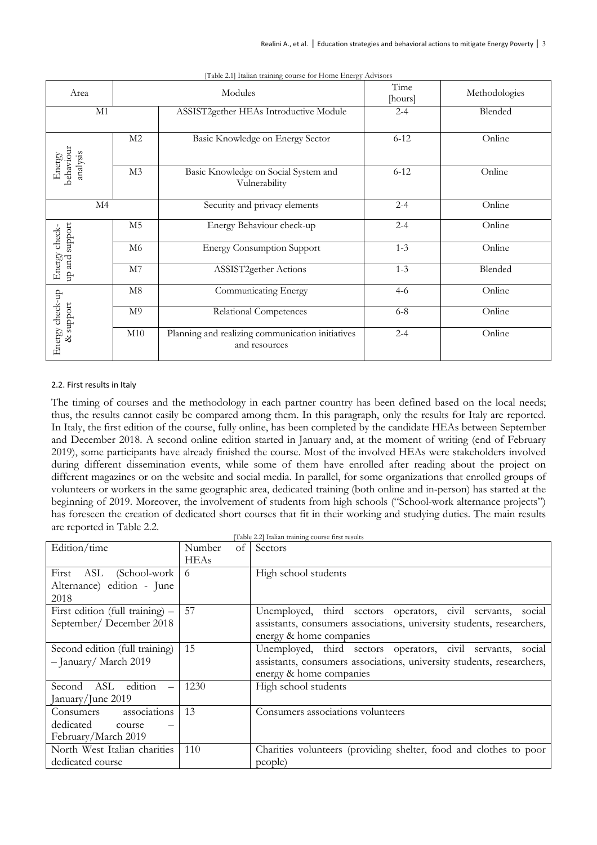| Area                            |                | Modules                                                           | Time<br>[hours] | Methodologies |
|---------------------------------|----------------|-------------------------------------------------------------------|-----------------|---------------|
| M1                              |                | ASSIST2gether HEAs Introductive Module                            | $2 - 4$         | Blended       |
| Energy<br>behaviour<br>analysis | M <sub>2</sub> | Basic Knowledge on Energy Sector                                  | $6 - 12$        | Online        |
|                                 | M3             | Basic Knowledge on Social System and<br>Vulnerability             | $6 - 12$        | Online        |
| $\rm M4$                        |                | Security and privacy elements                                     | $2 - 4$         | Online        |
| support<br>check-               | M <sub>5</sub> | Energy Behaviour check-up                                         | $2 - 4$         | Online        |
| Energy<br>up and                | M6             | <b>Energy Consumption Support</b>                                 | $1 - 3$         | Online        |
|                                 | M7             | ASSIST2gether Actions                                             | $1 - 3$         | Blended       |
|                                 | M8             | Communicating Energy                                              | $4-6$           | Online        |
| Energy check-up<br>& support    | M <sup>9</sup> | Relational Competences                                            | $6 - 8$         | Online        |
|                                 | M10            | Planning and realizing communication initiatives<br>and resources | $2 - 4$         | Online        |

[Table 2.1] Italian training course for Home Energy Advisors

#### 2.2. First results in Italy

The timing of courses and the methodology in each partner country has been defined based on the local needs; thus, the results cannot easily be compared among them. In this paragraph, only the results for Italy are reported. In Italy, the first edition of the course, fully online, has been completed by the candidate HEAs between September and December 2018. A second online edition started in January and, at the moment of writing (end of February 2019), some participants have already finished the course. Most of the involved HEAs were stakeholders involved during different dissemination events, while some of them have enrolled after reading about the project on different magazines or on the website and social media. In parallel, for some organizations that enrolled groups of volunteers or workers in the same geographic area, dedicated training (both online and in-person) has started at the beginning of 2019. Moreover, the involvement of students from high schools ("School-work alternance projects") has foreseen the creation of dedicated short courses that fit in their working and studying duties. The main results are reported in Table 2.2.  $[TT<sub>th</sub>1<sub>0</sub>22]$  Italian training course  $\tilde{\mu}$ 

|                                                                         |             |    | [Lable 2.2] Italian training course first results                                                                                                                  |
|-------------------------------------------------------------------------|-------------|----|--------------------------------------------------------------------------------------------------------------------------------------------------------------------|
| Edition/time                                                            | Number      | οf | Sectors                                                                                                                                                            |
|                                                                         | <b>HEAs</b> |    |                                                                                                                                                                    |
| First ASL (School-work<br>Alternance) edition - June<br>2018            | -6          |    | High school students                                                                                                                                               |
| First edition (full training) $-$<br>September/December 2018            | 57          |    | Unemployed, third sectors operators, civil servants, social<br>assistants, consumers associations, university students, researchers,<br>energy & home companies    |
| Second edition (full training)<br>- January/ March 2019                 | 15          |    | Unemployed, third sectors operators, civil servants,<br>social<br>assistants, consumers associations, university students, researchers,<br>energy & home companies |
| Second ASL<br>edition<br>January/June 2019                              | 1230        |    | High school students                                                                                                                                               |
| associations<br>Consumers<br>dedicated<br>course<br>February/March 2019 | 13          |    | Consumers associations volunteers                                                                                                                                  |
| North West Italian charities<br>dedicated course                        | 110         |    | Charities volunteers (providing shelter, food and clothes to poor<br>people)                                                                                       |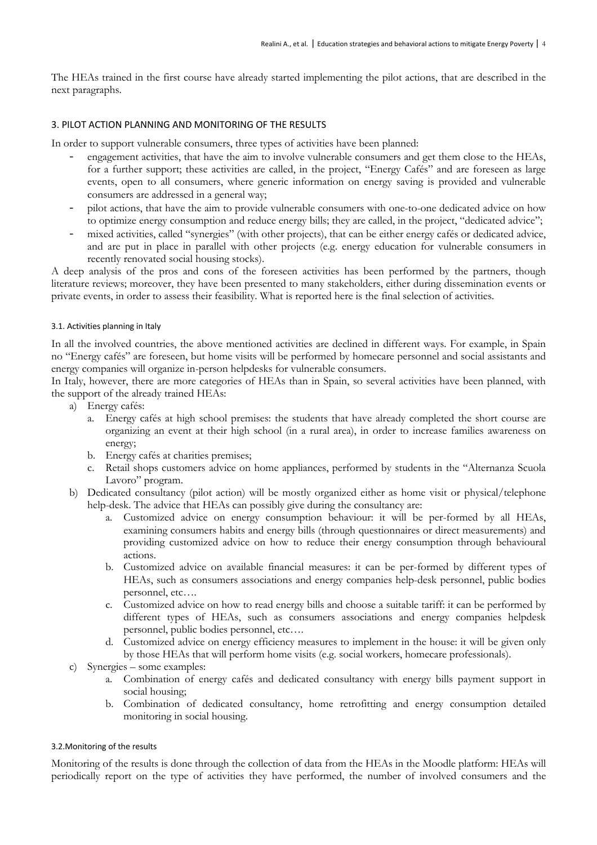The HEAs trained in the first course have already started implementing the pilot actions, that are described in the next paragraphs.

### 3. PILOT ACTION PLANNING AND MONITORING OF THE RESULTS

In order to support vulnerable consumers, three types of activities have been planned:

- engagement activities, that have the aim to involve vulnerable consumers and get them close to the HEAs, for a further support; these activities are called, in the project, "Energy Cafés" and are foreseen as large events, open to all consumers, where generic information on energy saving is provided and vulnerable consumers are addressed in a general way;
- pilot actions, that have the aim to provide vulnerable consumers with one-to-one dedicated advice on how to optimize energy consumption and reduce energy bills; they are called, in the project, "dedicated advice";
- mixed activities, called "synergies" (with other projects), that can be either energy cafés or dedicated advice, and are put in place in parallel with other projects (e.g. energy education for vulnerable consumers in recently renovated social housing stocks).

A deep analysis of the pros and cons of the foreseen activities has been performed by the partners, though literature reviews; moreover, they have been presented to many stakeholders, either during dissemination events or private events, in order to assess their feasibility. What is reported here is the final selection of activities.

### 3.1. Activities planning in Italy

In all the involved countries, the above mentioned activities are declined in different ways. For example, in Spain no "Energy cafés" are foreseen, but home visits will be performed by homecare personnel and social assistants and energy companies will organize in-person helpdesks for vulnerable consumers.

In Italy, however, there are more categories of HEAs than in Spain, so several activities have been planned, with the support of the already trained HEAs:

- a) Energy cafés:
	- a. Energy cafés at high school premises: the students that have already completed the short course are organizing an event at their high school (in a rural area), in order to increase families awareness on energy;
	- b. Energy cafés at charities premises;
	- c. Retail shops customers advice on home appliances, performed by students in the "Alternanza Scuola Lavoro" program.
- b) Dedicated consultancy (pilot action) will be mostly organized either as home visit or physical/telephone help-desk. The advice that HEAs can possibly give during the consultancy are:
	- a. Customized advice on energy consumption behaviour: it will be per-formed by all HEAs, examining consumers habits and energy bills (through questionnaires or direct measurements) and providing customized advice on how to reduce their energy consumption through behavioural actions.
	- b. Customized advice on available financial measures: it can be per-formed by different types of HEAs, such as consumers associations and energy companies help-desk personnel, public bodies personnel, etc….
	- c. Customized advice on how to read energy bills and choose a suitable tariff: it can be performed by different types of HEAs, such as consumers associations and energy companies helpdesk personnel, public bodies personnel, etc….
	- d. Customized advice on energy efficiency measures to implement in the house: it will be given only by those HEAs that will perform home visits (e.g. social workers, homecare professionals).
- c) Synergies some examples:
	- a. Combination of energy cafés and dedicated consultancy with energy bills payment support in social housing;
	- b. Combination of dedicated consultancy, home retrofitting and energy consumption detailed monitoring in social housing.

#### 3.2.Monitoring of the results

Monitoring of the results is done through the collection of data from the HEAs in the Moodle platform: HEAs will periodically report on the type of activities they have performed, the number of involved consumers and the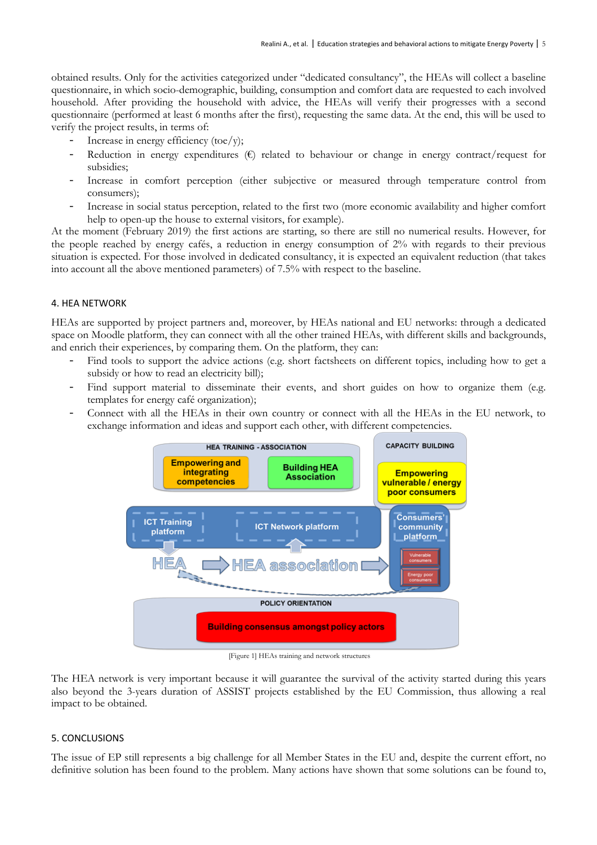obtained results. Only for the activities categorized under "dedicated consultancy", the HEAs will collect a baseline questionnaire, in which socio-demographic, building, consumption and comfort data are requested to each involved household. After providing the household with advice, the HEAs will verify their progresses with a second questionnaire (performed at least 6 months after the first), requesting the same data. At the end, this will be used to verify the project results, in terms of:

- Increase in energy efficiency (toe/y);
- Reduction in energy expenditures  $(\epsilon)$  related to behaviour or change in energy contract/request for subsidies;
- Increase in comfort perception (either subjective or measured through temperature control from consumers);
- Increase in social status perception, related to the first two (more economic availability and higher comfort help to open-up the house to external visitors, for example).

At the moment (February 2019) the first actions are starting, so there are still no numerical results. However, for the people reached by energy cafés, a reduction in energy consumption of 2% with regards to their previous situation is expected. For those involved in dedicated consultancy, it is expected an equivalent reduction (that takes into account all the above mentioned parameters) of 7.5% with respect to the baseline.

# 4. HEA NETWORK

HEAs are supported by project partners and, moreover, by HEAs national and EU networks: through a dedicated space on Moodle platform, they can connect with all the other trained HEAs, with different skills and backgrounds, and enrich their experiences, by comparing them. On the platform, they can:

- Find tools to support the advice actions (e.g. short factsheets on different topics, including how to get a subsidy or how to read an electricity bill);
- Find support material to disseminate their events, and short guides on how to organize them (e.g. templates for energy café organization);
- Connect with all the HEAs in their own country or connect with all the HEAs in the EU network, to exchange information and ideas and support each other, with different competencies.



[Figure 1] HEAs training and network structures

The HEA network is very important because it will guarantee the survival of the activity started during this years also beyond the 3-years duration of ASSIST projects established by the EU Commission, thus allowing a real impact to be obtained.

### 5. CONCLUSIONS

The issue of EP still represents a big challenge for all Member States in the EU and, despite the current effort, no definitive solution has been found to the problem. Many actions have shown that some solutions can be found to,